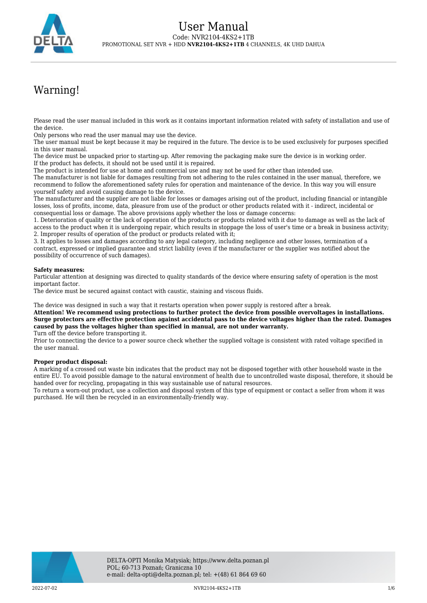

# Warning!

Please read the user manual included in this work as it contains important information related with safety of installation and use of the device.

Only persons who read the user manual may use the device.

The user manual must be kept because it may be required in the future. The device is to be used exclusively for purposes specified in this user manual.

The device must be unpacked prior to starting-up. After removing the packaging make sure the device is in working order. If the product has defects, it should not be used until it is repaired.

The product is intended for use at home and commercial use and may not be used for other than intended use.

The manufacturer is not liable for damages resulting from not adhering to the rules contained in the user manual, therefore, we recommend to follow the aforementioned safety rules for operation and maintenance of the device. In this way you will ensure yourself safety and avoid causing damage to the device.

The manufacturer and the supplier are not liable for losses or damages arising out of the product, including financial or intangible losses, loss of profits, income, data, pleasure from use of the product or other products related with it - indirect, incidental or consequential loss or damage. The above provisions apply whether the loss or damage concerns:

1. Deterioration of quality or the lack of operation of the products or products related with it due to damage as well as the lack of access to the product when it is undergoing repair, which results in stoppage the loss of user's time or a break in business activity; 2. Improper results of operation of the product or products related with it;

3. It applies to losses and damages according to any legal category, including negligence and other losses, termination of a contract, expressed or implied guarantee and strict liability (even if the manufacturer or the supplier was notified about the possibility of occurrence of such damages).

#### **Safety measures:**

Particular attention at designing was directed to quality standards of the device where ensuring safety of operation is the most important factor.

The device must be secured against contact with caustic, staining and viscous fluids.

The device was designed in such a way that it restarts operation when power supply is restored after a break.

**Attention! We recommend using protections to further protect the device from possible overvoltages in installations. Surge protectors are effective protection against accidental pass to the device voltages higher than the rated. Damages caused by pass the voltages higher than specified in manual, are not under warranty.**

Turn off the device before transporting it.

Prior to connecting the device to a power source check whether the supplied voltage is consistent with rated voltage specified in the user manual.

#### **Proper product disposal:**

A marking of a crossed out waste bin indicates that the product may not be disposed together with other household waste in the entire EU. To avoid possible damage to the natural environment of health due to uncontrolled waste disposal, therefore, it should be handed over for recycling, propagating in this way sustainable use of natural resources.

To return a worn-out product, use a collection and disposal system of this type of equipment or contact a seller from whom it was purchased. He will then be recycled in an environmentally-friendly way.

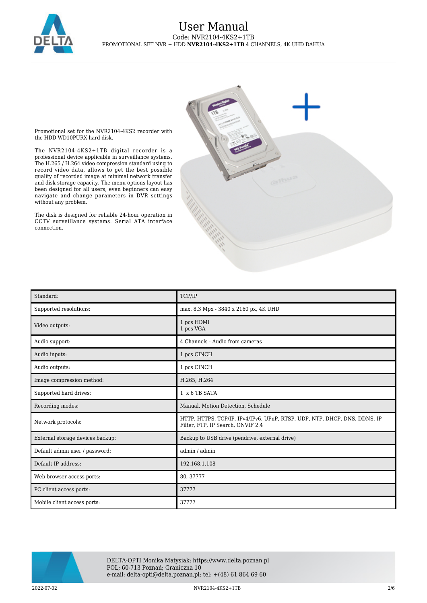

Promotional set for the NVR2104-4KS2 recorder with the HDD-WD10PURX hard disk.

The NVR2104-4KS2+1TB digital recorder is a professional device applicable in surveillance systems. The H.265 / H.264 video compression standard using to record video data, allows to get the best possible quality of recorded image at minimal network transfer and disk storage capacity. The menu options layout has been designed for all users, even beginners can easy navigate and change parameters in DVR settings without any problem.

The disk is designed for reliable 24-hour operation in CCTV surveillance systems. Serial ATA interface connection.



| Standard:                        | TCP/IP                                                                                                         |
|----------------------------------|----------------------------------------------------------------------------------------------------------------|
| Supported resolutions:           | max. 8.3 Mpx - 3840 x 2160 px, 4K UHD                                                                          |
| Video outputs:                   | 1 pcs HDMI<br>1 pcs VGA                                                                                        |
| Audio support:                   | 4 Channels - Audio from cameras                                                                                |
| Audio inputs:                    | 1 pcs CINCH                                                                                                    |
| Audio outputs:                   | 1 pcs CINCH                                                                                                    |
| Image compression method:        | H.265, H.264                                                                                                   |
| Supported hard drives:           | $1 \times 6$ TB SATA                                                                                           |
| Recording modes:                 | Manual, Motion Detection, Schedule                                                                             |
| Network protocols:               | HTTP, HTTPS, TCP/IP, IPv4/IPv6, UPnP, RTSP, UDP, NTP, DHCP, DNS, DDNS, IP<br>Filter, FTP, IP Search, ONVIF 2.4 |
| External storage devices backup: | Backup to USB drive (pendrive, external drive)                                                                 |
| Default admin user / password:   | admin / admin                                                                                                  |
| Default IP address:              | 192.168.1.108                                                                                                  |
| Web browser access ports:        | 80, 37777                                                                                                      |
| PC client access ports:          | 37777                                                                                                          |
| Mobile client access ports:      | 37777                                                                                                          |



DELTA-OPTI Monika Matysiak; https://www.delta.poznan.pl POL; 60-713 Poznań; Graniczna 10 e-mail: delta-opti@delta.poznan.pl; tel: +(48) 61 864 69 60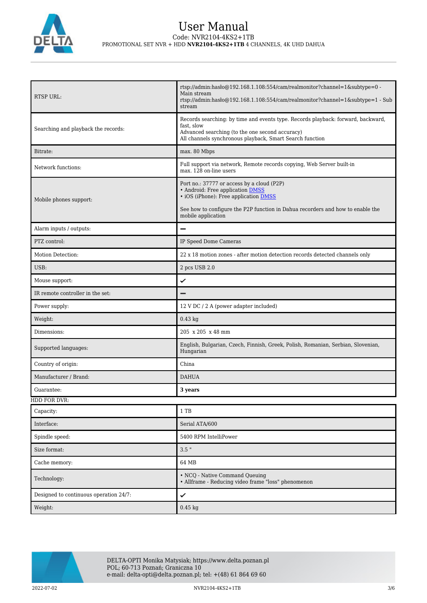

| <b>RTSP URL:</b>                       | rtsp://admin.hasho@192.168.1.108:554/cam/realmonitor?channel=1&subtype=0 -<br>Main stream<br>rtsp://admin:hasło@192.168.1.108:554/cam/realmonitor?channel=1&subtype=1 - Sub<br>stream                                           |
|----------------------------------------|---------------------------------------------------------------------------------------------------------------------------------------------------------------------------------------------------------------------------------|
| Searching and playback the records:    | Records searching: by time and events type. Records playback: forward, backward,<br>fast, slow<br>Advanced searching (to the one second accuracy)<br>All channels synchronous playback, Smart Search function                   |
| Bitrate:                               | max. 80 Mbps                                                                                                                                                                                                                    |
| Network functions:                     | Full support via network, Remote records copying, Web Server built-in<br>max. 128 on-line users                                                                                                                                 |
| Mobile phones support:                 | Port no.: 37777 or access by a cloud (P2P)<br>• Android: Free application DMSS<br>• iOS (iPhone): Free application DMSS<br>See how to configure the P2P function in Dahua recorders and how to enable the<br>mobile application |
| Alarm inputs / outputs:                | -                                                                                                                                                                                                                               |
| PTZ control:                           | IP Speed Dome Cameras                                                                                                                                                                                                           |
| Motion Detection:                      | 22 x 18 motion zones - after motion detection records detected channels only                                                                                                                                                    |
| USB:                                   | 2 pcs USB 2.0                                                                                                                                                                                                                   |
| Mouse support:                         | ✓                                                                                                                                                                                                                               |
| IR remote controller in the set:       |                                                                                                                                                                                                                                 |
| Power supply:                          | 12 V DC / 2 A (power adapter included)                                                                                                                                                                                          |
| Weight:                                | $0.43$ kg                                                                                                                                                                                                                       |
| Dimensions:                            | 205 x 205 x 48 mm                                                                                                                                                                                                               |
| Supported languages:                   | English, Bulgarian, Czech, Finnish, Greek, Polish, Romanian, Serbian, Slovenian,<br>Hungarian                                                                                                                                   |
| Country of origin:                     | China                                                                                                                                                                                                                           |
| Manufacturer / Brand:                  | <b>DAHUA</b>                                                                                                                                                                                                                    |
| Guarantee:                             | 3 years                                                                                                                                                                                                                         |
| HDD FOR DVR:                           |                                                                                                                                                                                                                                 |
| Capacity:                              | 1 TB                                                                                                                                                                                                                            |
| Interface:                             | Serial ATA/600                                                                                                                                                                                                                  |
| Spindle speed:                         | 5400 RPM IntelliPower                                                                                                                                                                                                           |
| Size format:                           | $3.5$ "                                                                                                                                                                                                                         |
| Cache memory:                          | 64 MB                                                                                                                                                                                                                           |
| Technology:                            | • NCQ - Native Command Queuing<br>· Allframe - Reducing video frame "loss" phenomenon                                                                                                                                           |
| Designed to continuous operation 24/7: | ✓                                                                                                                                                                                                                               |
| Weight:                                | $0.45$ kg                                                                                                                                                                                                                       |

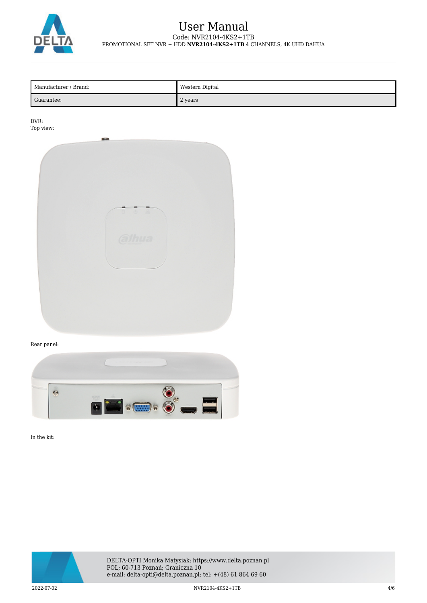

| Manufacturer / Brand: | Western Digital |
|-----------------------|-----------------|
| Guarantee:            | 2 years         |

DVR: Top view:



#### Rear panel:



In the kit:



DELTA-OPTI Monika Matysiak; https://www.delta.poznan.pl POL; 60-713 Poznań; Graniczna 10 e-mail: delta-opti@delta.poznan.pl; tel: +(48) 61 864 69 60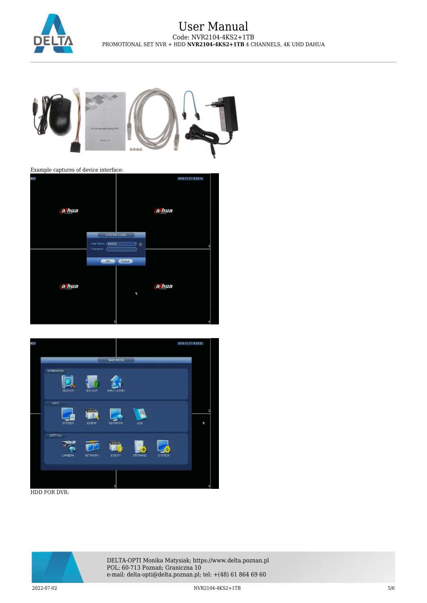



Example captures of device interface:





HDD FOR DVR:



DELTA-OPTI Monika Matysiak; https://www.delta.poznan.pl POL; 60-713 Poznań; Graniczna 10 e-mail: delta-opti@delta.poznan.pl; tel: +(48) 61 864 69 60

2022-07-02 NVR2104-4KS2+1TB 5/6